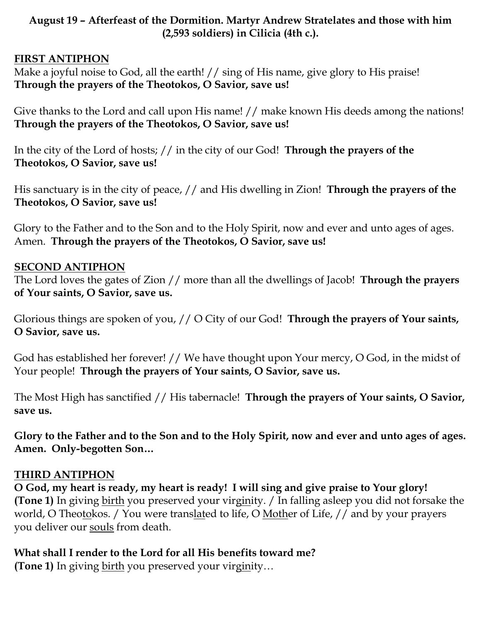### **August 19 – Afterfeast of the Dormition. Martyr Andrew Stratelates and those with him (2,593 soldiers) in Cilicia (4th c.).**

#### **FIRST ANTIPHON**

Make a joyful noise to God, all the earth! // sing of His name, give glory to His praise! **Through the prayers of the Theotokos, O Savior, save us!**

Give thanks to the Lord and call upon His name! // make known His deeds among the nations! **Through the prayers of the Theotokos, O Savior, save us!**

In the city of the Lord of hosts; // in the city of our God! **Through the prayers of the Theotokos, O Savior, save us!**

His sanctuary is in the city of peace, // and His dwelling in Zion! **Through the prayers of the Theotokos, O Savior, save us!**

Glory to the Father and to the Son and to the Holy Spirit, now and ever and unto ages of ages. Amen. **Through the prayers of the Theotokos, O Savior, save us!**

#### **SECOND ANTIPHON**

The Lord loves the gates of Zion // more than all the dwellings of Jacob! **Through the prayers of Your saints, O Savior, save us.**

Glorious things are spoken of you, // O City of our God! **Through the prayers of Your saints, O Savior, save us.**

God has established her forever! // We have thought upon Your mercy, O God, in the midst of Your people! **Through the prayers of Your saints, O Savior, save us.**

The Most High has sanctified // His tabernacle! **Through the prayers of Your saints, O Savior, save us.**

**Glory to the Father and to the Son and to the Holy Spirit, now and ever and unto ages of ages. Amen. Only-begotten Son…** 

#### **THIRD ANTIPHON**

**O God, my heart is ready, my heart is ready! I will sing and give praise to Your glory! (Tone 1)** In giving birth you preserved your virginity. / In falling asleep you did not forsake the world, O Theotokos. / You were translated to life, O Mother of Life, // and by your prayers you deliver our souls from death.

#### **What shall I render to the Lord for all His benefits toward me?**

**(Tone 1)** In giving birth you preserved your virginity...